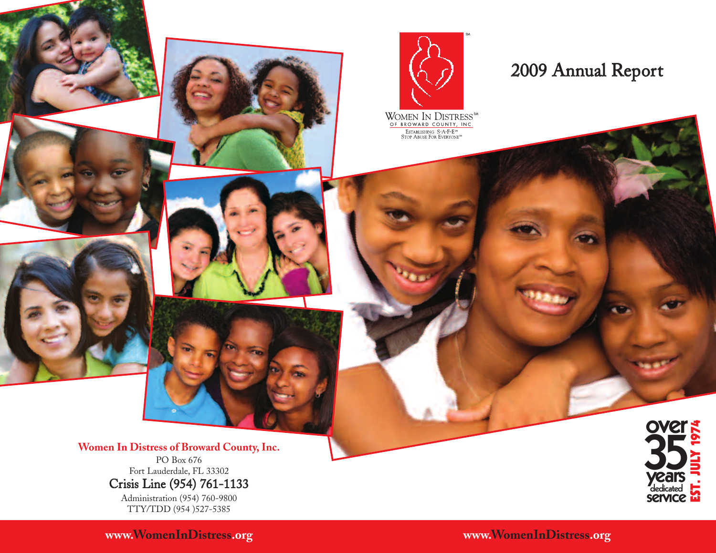

### 2009 Annual Report

**35** Women In Distress of Broward County, Inc.<br>
PO Box 676<br>
Fort Lauderdale, FL 33302 PO Box 676 Fort Lauderdale, FL 33302 Crisis Line (954) 761-1133 Administration (954) 760-9800 TTY/TDD (954 )527-5385

**www.WomenInDistress.org www.WomenInDistress.org**

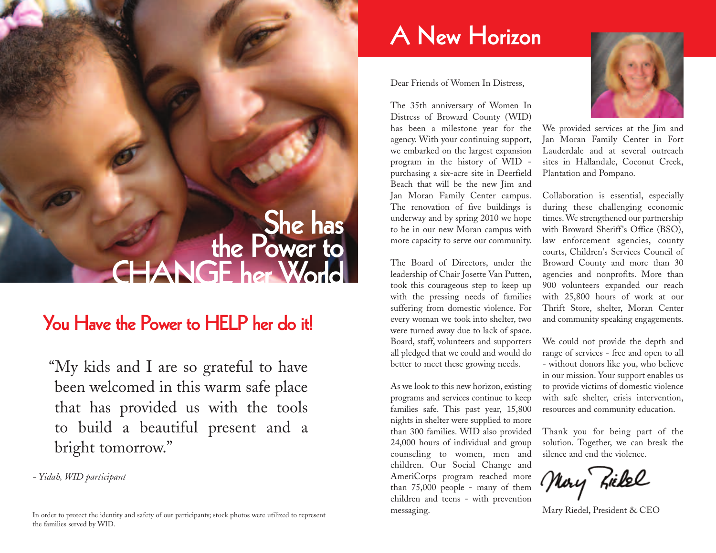# **She has the Power to CHANGE her World**

### **You Have the Power to HELP her do it!**

"My kids and I are so grateful to have been welcomed in this warm safe place that has provided us with the tools to build a beautiful present and a bright tomorrow."

*- Yidah, WID participant*

In order to protect the identity and safety of our participants; stock photos were utilized to represent the families served by WID.

## **A New Horizon**

Dear Friends of Women In Distress,

The 35th anniversary of Women In Distress of Broward County (WID) has been a milestone year for the agency. With your continuing support, we embarked on the largest expansion program in the history of WID purchasing a six-acre site in Deerfield Beach that will be the new Jim and Jan Moran Family Center campus. The renovation of five buildings is underway and by spring 2010 we hope to be in our new Moran campus with more capacity to serve our community.

The Board of Directors, under the leadership of Chair Josette Van Putten, took this courageous step to keep up with the pressing needs of families suffering from domestic violence. For every woman we took into shelter, two were turned away due to lack of space. Board, staff, volunteers and supporters all pledged that we could and would do better to meet these growing needs.

As we look to this new horizon, existing programs and services continue to keep families safe. This past year, 15,800 nights in shelter were supplied to more than 300 families. WID also provided 24,000 hours of individual and group counseling to women, men and children. Our Social Change and AmeriCorps program reached more than 75,000 people - many of them children and teens - with prevention messaging.



We provided services at the Jim and Jan Moran Family Center in Fort Lauderdale and at several outreach sites in Hallandale, Coconut Creek, Plantation and Pompano.

Collaboration is essential, especially during these challenging economic times. We strengthened our partnership with Broward Sheriff's Office (BSO), law enforcement agencies, county courts, Children's Services Council of Broward County and more than 30 agencies and nonprofits. More than 900 volunteers expanded our reach with 25,800 hours of work at our Thrift Store, shelter, Moran Center and community speaking engagements.

We could not provide the depth and range of services - free and open to all - without donors like you, who believe in our mission. Your support enables us to provide victims of domestic violence with safe shelter, crisis intervention, resources and community education.

Thank you for being part of the solution. Together, we can break the silence and end the violence.

Mory Ziekel

Mary Riedel, President & CEO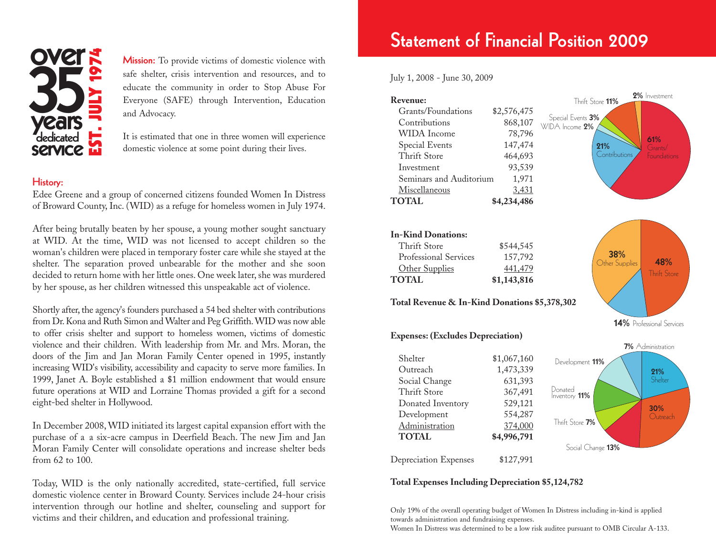

**Mission:** To provide victims of domestic violence with safe shelter, crisis intervention and resources, and to educate the community in order to Stop Abuse For Everyone (SAFE) through Intervention, Education and Advocacy. Mission: To provide victims of domestic violence with<br>safe shelter, crisis intervention and resources, and to<br>educate the community in order to Stop Abuse For<br>Everyone (SAFE) through Intervention, Education<br>and Advocacy.<br>C

> It is estimated that one in three women will experience domestic violence at some point during their lives.

### **History:**

Edee Greene and a group of concerned citizens founded Women In Distress of Broward County, Inc. (WID) as a refuge for homeless women in July 1974.

After being brutally beaten by her spouse, a young mother sought sanctuary at WID. At the time, WID was not licensed to accept children so the woman's children were placed in temporary foster care while she stayed at the shelter. The separation proved unbearable for the mother and she soon decided to return home with her little ones. One week later, she was murdered by her spouse, as her children witnessed this unspeakable act of violence.

Shortly after, the agency's founders purchased a 54 bed shelter with contributions from Dr. Kona and Ruth Simon and Walter and Peg Griffith. WID was now able to offer crisis shelter and support to homeless women, victims of domestic violence and their children. With leadership from Mr. and Mrs. Moran, the doors of the Jim and Jan Moran Family Center opened in 1995, instantly increasing WID's visibility, accessibility and capacity to serve more families. In 1999, Janet A. Boyle established a \$1 million endowment that would ensure future operations at WID and Lorraine Thomas provided a gift for a second eight-bed shelter in Hollywood.

In December 2008, WID initiated its largest capital expansion effort with the purchase of a a six-acre campus in Deerfield Beach. The new Jim and Jan Moran Family Center will consolidate operations and increase shelter beds from 62 to 100.

Today, WID is the only nationally accredited, state-certified, full service domestic violence center in Broward County. Services include 24-hour crisis intervention through our hotline and shelter, counseling and support for victims and their children, and education and professional training.

### **Statement of Financial Position 2009**

| Revenue:                |              | 2% Investment<br>Thrift Store 11%   |
|-------------------------|--------------|-------------------------------------|
| Grants/Foundations      | \$2,576,475  |                                     |
| Contributions           | 868,107      | Special Events 3%<br>WIDA Income 2% |
| WIDA Income             | 78,796       |                                     |
| Special Events          | 147,474      | 61%<br>21%<br>Grants/               |
| Thrift Store            | 464,693      | Contributions<br>Foundations        |
| Investment              | 93,539       |                                     |
| Seminars and Auditorium | 1,971        |                                     |
| Miscellaneous           | <u>3,431</u> |                                     |
| <b>TOTAL</b>            | \$4,234,486  |                                     |
|                         |              |                                     |

| <b>In-Kind Donations:</b> |             |
|---------------------------|-------------|
| Thrift Store              | \$544,545   |
| Professional Services     | 157,792     |
| Other Supplies            | 441,479     |
| <b>TOTAL</b>              | \$1,143,816 |

**Total Revenue & In-Kind Donations \$5,378,302**

#### **Expenses: (Excludes Depreciation)**

|                                    | 7% Administration        |
|------------------------------------|--------------------------|
| \$1,067,160                        | Development 11%          |
| 1,473,339                          | 21%                      |
| 631,393                            | Shelter                  |
| 367,491                            | Donated<br>Inventory 11% |
| 529,121                            | 30%                      |
| 554,287                            | Outreach                 |
| 374,000                            | Thrift Store 7%          |
| \$4,996,791                        |                          |
|                                    | Social Change 13%        |
| \$127,991<br>Depreciation Expenses |                          |
|                                    |                          |

#### **Total Expenses Including Depreciation \$5,124,782**

Only 19% of the overall operating budget of Women In Distress including in-kind is applied towards administration and fundraising expenses.

Women In Distress was determined to be a low risk auditee pursuant to OMB Circular A-133.



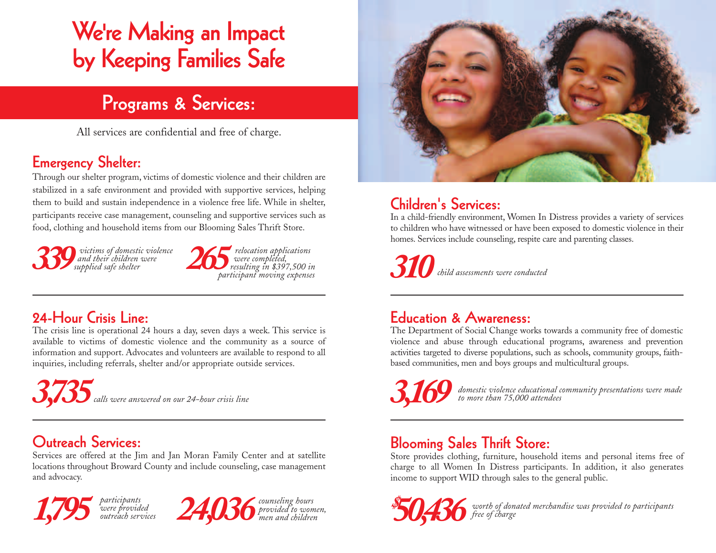## **We're Making an Impact by Keeping Families Safe**

## **Programs & Services:**

All services are confidential and free of charge.

### **Emergency Shelter:**

Through our shelter program, victims of domestic violence and their children are stabilized in a safe environment and provided with supportive services, helping them to build and sustain independence in a violence free life. While in shelter, participants receive case management, counseling and supportive services such as food, clothing and household items from our Blooming Sales Thrift Store.

*victims of domestic violence and their children were supplied safe shelter* **339** *and their children were* 265<br>*339 supplied safe shelter* 265



### **24-Hour Crisis Line:**

The crisis line is operational 24 hours a day, seven days a week. This service is available to victims of domestic violence and the community as a source of information and support. Advocates and volunteers are available to respond to all inquiries, including referrals, shelter and/or appropriate outside services.

*3,735calls were answered on our 24-hour crisis line*

### **Outreach Services:**

Services are offered at the Jim and Jan Moran Family Center and at satellite locations throughout Broward County and include counseling, case management and advocacy.

*were provided outreach services*





### **Children's Services:**

In a child-friendly environment, Women In Distress provides a variety of services to children who have witnessed or have been exposed to domestic violence in their homes. Services include counseling, respite care and parenting classes.

*310child assessments were conducted*

### **Education & Awareness:**

The Department of Social Change works towards a community free of domestic violence and abuse through educational programs, awareness and prevention activities targeted to diverse populations, such as schools, community groups, faithbased communities, men and boys groups and multicultural groups.



*domestic violence educational community presentations were made to more than 75,000 attendees*

### **Blooming Sales Thrift Store:**

Store provides clothing, furniture, household items and personal items free of charge to all Women In Distress participants. In addition, it also generates income to support WID through sales to the general public.



*50,436 worth of donated merchandise was provided to participants*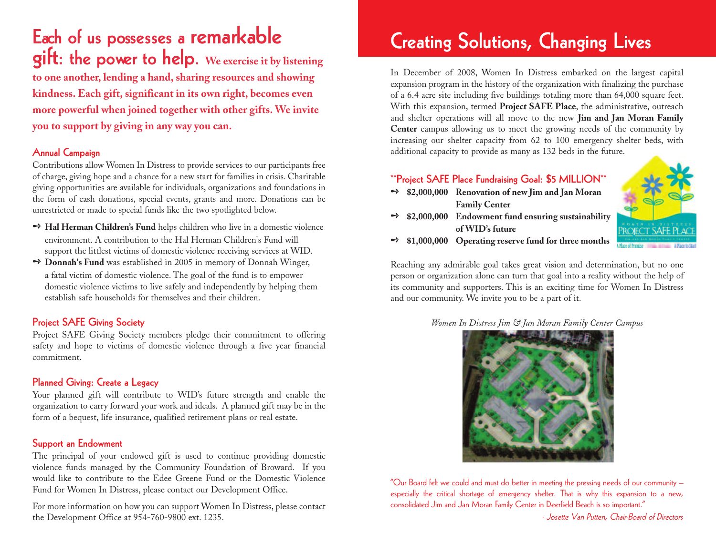**Each of us possesses a remarkable gift: the power to help. We exercise it by listening to one another, lending a hand, sharing resources and showing kindness. Each gift, significant in its own right, becomes even more powerful when joined together with other gifts. We invite you to support by giving in any way you can.**

### **Annual Campaign**

Contributions allow Women In Distress to provide services to our participants free of charge, giving hope and a chance for a new start for families in crisis. Charitable giving opportunities are available for individuals, organizations and foundations in the form of cash donations, special events, grants and more. Donations can be unrestricted or made to special funds like the two spotlighted below.

- **→ Hal Herman Children's Fund** helps children who live in a domestic violence environment. A contribution to the Hal Herman Children's Fund will support the littlest victims of domestic violence receiving services at WID.
- **→ Donnah's Fund** was established in 2005 in memory of Donnah Winger, a fatal victim of domestic violence. The goal of the fund is to empower domestic violence victims to live safely and independently by helping them establish safe households for themselves and their children.

### **Project SAFE Giving Society**

Project SAFE Giving Society members pledge their commitment to offering safety and hope to victims of domestic violence through a five year financial commitment.

### **Planned Giving: Create a Legacy**

Your planned gift will contribute to WID's future strength and enable the organization to carry forward your work and ideals. A planned gift may be in the form of a bequest, life insurance, qualified retirement plans or real estate.

### **Support an Endowment**

The principal of your endowed gift is used to continue providing domestic violence funds managed by the Community Foundation of Broward. If you would like to contribute to the Edee Greene Fund or the Domestic Violence Fund for Women In Distress, please contact our Development Office.

For more information on how you can support Women In Distress, please contact the Development Office at 954-760-9800 ext. 1235.

## **Creating Solutions, Changing Lives**

In December of 2008, Women In Distress embarked on the largest capital expansion program in the history of the organization with finalizing the purchase of a 6.4 acre site including five buildings totaling more than 64,000 square feet. With this expansion, termed **Project SAFE Place**, the administrative, outreach and shelter operations will all move to the new **Jim and Jan Moran Family Center** campus allowing us to meet the growing needs of the community by increasing our shelter capacity from 62 to 100 emergency shelter beds, with additional capacity to provide as many as 132 beds in the future.

### **\*\*Project SAFE Place Fundraising Goal: \$5 MILLION\*\***

➺ **\$2,000,000 Renovation of new Jim and Jan Moran Family Center**





➺ **\$1,000,000 Operating reserve fund for three months**

Reaching any admirable goal takes great vision and determination, but no one person or organization alone can turn that goal into a reality without the help of its community and supporters. This is an exciting time for Women In Distress and our community. We invite you to be a part of it.

*Women In Distress Jim & Jan Moran Family Center Campus*



"Our Board felt we could and must do better in meeting the pressing needs of our community – especially the critical shortage of emergency shelter. That is why this expansion to a new, consolidated Jim and Jan Moran Family Center in Deerfield Beach is so important."

- Josette Van Putten, Chair-Board of Directors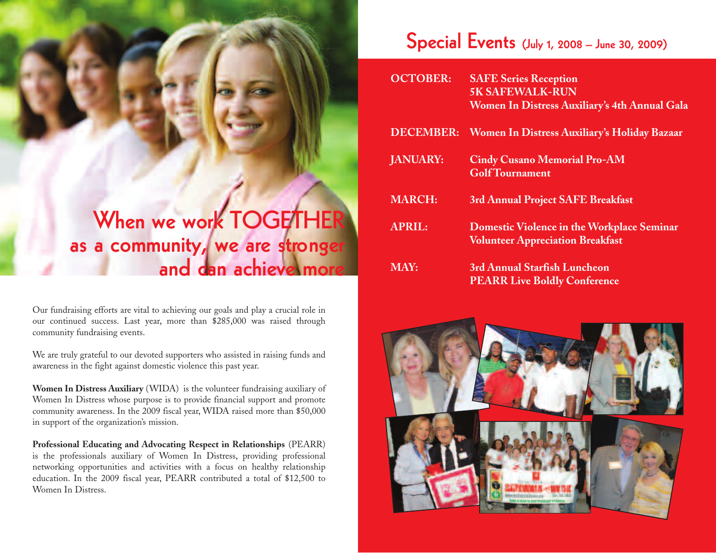## **When we work TOGETHER as a community, we are stronger and can achieve more**

Our fundraising efforts are vital to achieving our goals and play a crucial role in our continued success. Last year, more than \$285,000 was raised through community fundraising events.

We are truly grateful to our devoted supporters who assisted in raising funds and awareness in the fight against domestic violence this past year.

**Women In Distress Auxiliary** (WIDA) is the volunteer fundraising auxiliary of Women In Distress whose purpose is to provide financial support and promote community awareness. In the 2009 fiscal year, WIDA raised more than \$50,000 in support of the organization's mission.

**Professional Educating and Advocating Respect in Relationships** (PEARR) is the professionals auxiliary of Women In Distress, providing professional networking opportunities and activities with a focus on healthy relationship education. In the 2009 fiscal year, PEARR contributed a total of \$12,500 to Women In Distress.

### **Special Events (July 1, 2008 – June 30, 2009)**

| <b>OCTOBER:</b> | <b>SAFE Series Reception</b>                                                                 |
|-----------------|----------------------------------------------------------------------------------------------|
|                 | <b>5K SAFEWALK-RUN</b>                                                                       |
|                 | Women In Distress Auxiliary's 4th Annual Gala                                                |
|                 | DECEMBER: Women In Distress Auxiliary's Holiday Bazaar                                       |
| <b>JANUARY:</b> | <b>Cindy Cusano Memorial Pro-AM</b><br><b>GolfTournament</b>                                 |
| <b>MARCH:</b>   | 3rd Annual Project SAFE Breakfast                                                            |
| <b>APRIL:</b>   | <b>Domestic Violence in the Workplace Seminar</b><br><b>Volunteer Appreciation Breakfast</b> |
| <b>MAY:</b>     | 3rd Annual Starfish Luncheon<br><b>PEARR Live Boldly Conference</b>                          |

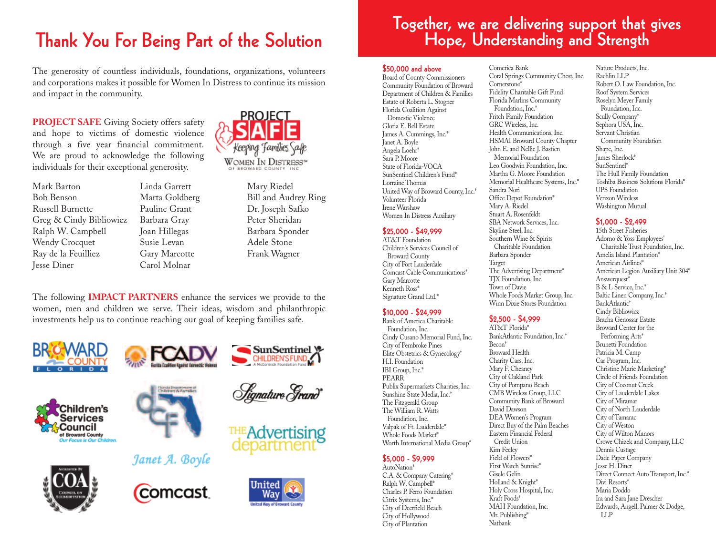### **Thank You For Being Part of the Solution**

The generosity of countless individuals, foundations, organizations, volunteers and corporations makes it possible for Women In Distress to continue its mission and impact in the community.

**PROJECT SAFE** Giving Society offers safety and hope to victims of domestic violence through a five year financial commitment. We are proud to acknowledge the following individuals for their exceptional generosity.



Linda Garrett Marta Goldberg Pauline Grant Barbara Gray Joan Hillegas Susie Levan Gary Marcotte Carol Molnar



Mary Riedel Bill and Audrey Ring Dr. Joseph Safko Peter Sheridan Barbara Sponder Adele Stone Frank Wagner

SunSentinel y CHILDREN'S FUND

Hignature Grand\*

THE Advertising

The following **IMPACT PARTNERS** enhance the services we provide to the women, men and children we serve. Their ideas, wisdom and philanthropic investments help us to continue reaching our goal of keeping families safe.

**Rollin Coakties Analyst Devectic Natures** 









Janet A. Boyle



# **Together, we are delivering support that gives Hope, Understanding and Strength**

#### **\$50,000 and above**

Board of County Commissioners Community Foundation of Broward Department of Children & Families Estate of Roberta L. Stogner Florida Coalition Against Domestic Violence Gloria E. Bell Estate James A. Cummings, Inc.\* Janet A. Boyle Angela Loehr\* Sara P. Moore State of Florida-VOCA SunSentinel Children's Fund\* Lorraine Thomas United Way of Broward County, Inc.\* Volunteer Florida Irene Warshaw Women In Distress Auxiliary

#### **\$25,000 - \$49,999**

AT&T Foundation Children's Services Council of Broward County City of Fort Lauderdale Comcast Cable Communications\* Gary Marcotte Kenneth Ross\* Signature Grand Ltd.\*

### **\$10,000 - \$24,999**

Bank of America Charitable Foundation, Inc. Cindy Cusano Memorial Fund, Inc. City of Pembroke Pines Elite Obstetrics & Gynecology\* H.I. Foundation IBI Group, Inc.\* PEARR Publix Supermarkets Charities, Inc. Sunshine State Media, Inc.\* The Fitzgerald Group The William R. Watts Foundation, Inc. Valpak of Ft. Lauderdale\* Whole Foods Market\* Worth International Media Group\*

#### **\$5,000 - \$9,999**

AutoNation\* C.A. & Company Catering\* Ralph W. Campbell\* Charles P. Ferro Foundation Citrix Systems, Inc.\* City of Deerfield Beach City of Hollywood City of Plantation

Comerica Bank Coral Springs Community Chest, Inc. Cornerstone\* Fidelity Charitable Gift Fund Florida Marlins Community Foundation, Inc.\* Fritch Family Foundation GRC Wireless, Inc. Health Communications, Inc. HSMAI Broward County Chapter John E. and Nellie J. Bastien Memorial Foundation Leo Goodwin Foundation, Inc. Martha G. Moore Foundation Memorial Healthcare Systems, Inc.\* Sandra Nori Office Depot Foundation\* Mary A. Riedel Stuart A. Rosenfeldt SBA Network Services, Inc. Skyline Steel, Inc. Southern Wine & Spirits Charitable Foundation Barbara Sponder Target The Advertising Department\* TIX Foundation, Inc. Town of Davie Whole Foods Market Group, Inc. Winn Dixie Stores Foundation

### **\$2,500 - \$4,999**

AT&T Florida\* BankAtlantic Foundation, Inc.\* Becon\* Broward Health Charity Cars, Inc. Mary F. Cheaney City of Oakland Park City of Pompano Beach CMB Wireless Group, LLC Community Bank of Broward David Dawson DEA Women's Program Direct Buy of the Palm Beaches Eastern Financial Federal Credit Union Kim Feeley Field of Flowers\* First Watch Sunrise\* Gisele Gelin Holland & Knight\* Holy Cross Hospital, Inc. Kraft Foods\* MAH Foundation, Inc. Mr. Publishing\* Natbank

Nature Products, Inc. Rachlin LLP Robert O. Law Foundation, Inc. Roof System Services Roselyn Meyer Family Foundation, Inc. Scully Company\* Sephora USA, Inc. Servant Christian Community Foundation Shape, Inc. James Sherlock\* SunSentinel\* The Hull Family Foundation Toshiba Business Solutions Florida\* UPS Foundation Verizon Wireless Washington Mutual

#### **\$1,000 - \$2,499**

15th Street Fisheries Adorno & Yoss Employees' Charitable Trust Foundation, Inc. Amelia Island Plantation\* American Airlines\* American Legion Auxiliary Unit 304\* Answerquest<sup>\*</sup> B & L Service, Inc.\* Baltic Linen Company, Inc.\* BankAtlantic\* Cindy Bibliowicz Bracha Genossar Estate Broward Center for the Performing Arts\* Brunetti Foundation Patricia M. Camp Car Program, Inc. Christine Marie Marketing\* Circle of Friends Foundation City of Coconut Creek City of Lauderdale Lakes City of Miramar City of North Lauderdale City of Tamarac City of Weston City of Wilton Manors Crowe Chizek and Company, LLC Dennis Custage Dade Paper Company Jesse H. Diner Direct Connect Auto Transport, Inc.\* Divi Resorts\* Maria Doddo Ira and Sara Jane Drescher Edwards, Angell, Palmer & Dodge, LLP